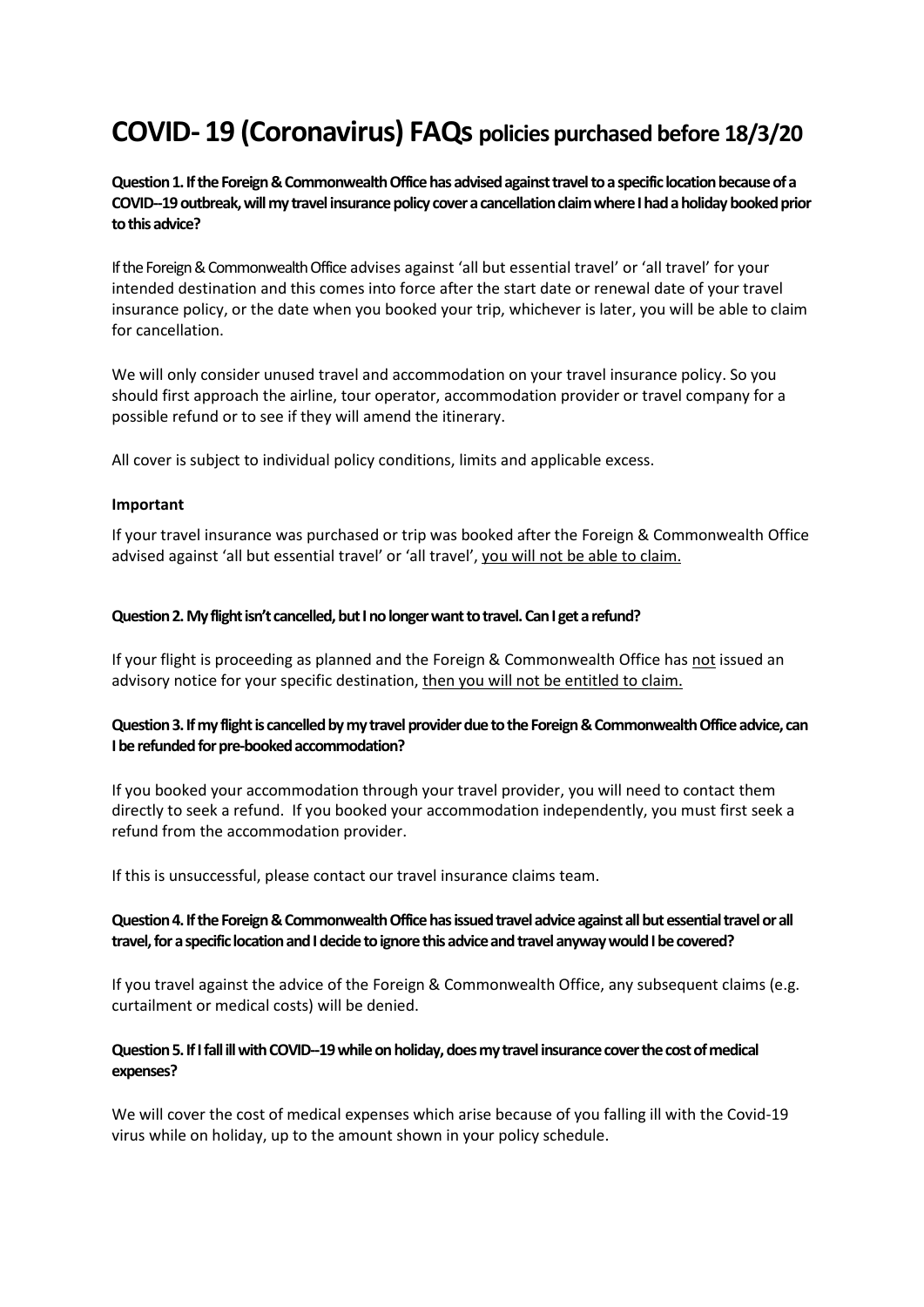# **COVID- 19 (Coronavirus) FAQs policies purchased before 18/3/20**

**Question 1. If the Foreign & Commonwealth Officehas advised against travel to a specific location because of a COVID--19 outbreak, will my travel insurance policy cover a cancellation claim where I had a holiday booked prior to this advice?**

If the Foreign & Commonwealth Office advises against 'all but essential travel' or 'all travel' for your intended destination and this comes into force after the start date or renewal date of your travel insurance policy, or the date when you booked your trip, whichever is later, you will be able to claim for cancellation.

We will only consider unused travel and accommodation on your travel insurance policy. So you should first approach the airline, tour operator, accommodation provider or travel company for a possible refund or to see if they will amend the itinerary.

All cover is subject to individual policy conditions, limits and applicable excess.

#### **Important**

If your travel insurance was purchased or trip was booked after the Foreign & Commonwealth Office advised against 'all but essential travel' or 'all travel', you will not be able to claim.

#### **Question 2. My flight isn't cancelled, but I no longer want to travel. Can I get a refund?**

If your flight is proceeding as planned and the Foreign & Commonwealth Office has not issued an advisory notice for your specific destination, then you will not be entitled to claim.

# **Question 3. If my flight is cancelled by my travel provider due to the Foreign & Commonwealth Officeadvice, can I be refunded for pre-booked accommodation?**

If you booked your accommodation through your travel provider, you will need to contact them directly to seek a refund. If you booked your accommodation independently, you must first seek a refund from the accommodation provider.

If this is unsuccessful, please contact our travel insurance claims team.

# **Question 4. If the Foreign & Commonwealth Officehas issued travel advice against all but essential travel or all travel, fora specific location and I decide to ignore this advice and travel anyway would I be covered?**

If you travel against the advice of the Foreign & Commonwealth Office, any subsequent claims (e.g. curtailment or medical costs) will be denied.

## **Question 5. If I fall ill with COVID--19 while on holiday, does my travel insurance cover the cost of medical expenses?**

We will cover the cost of medical expenses which arise because of you falling ill with the Covid-19 virus while on holiday, up to the amount shown in your policy schedule.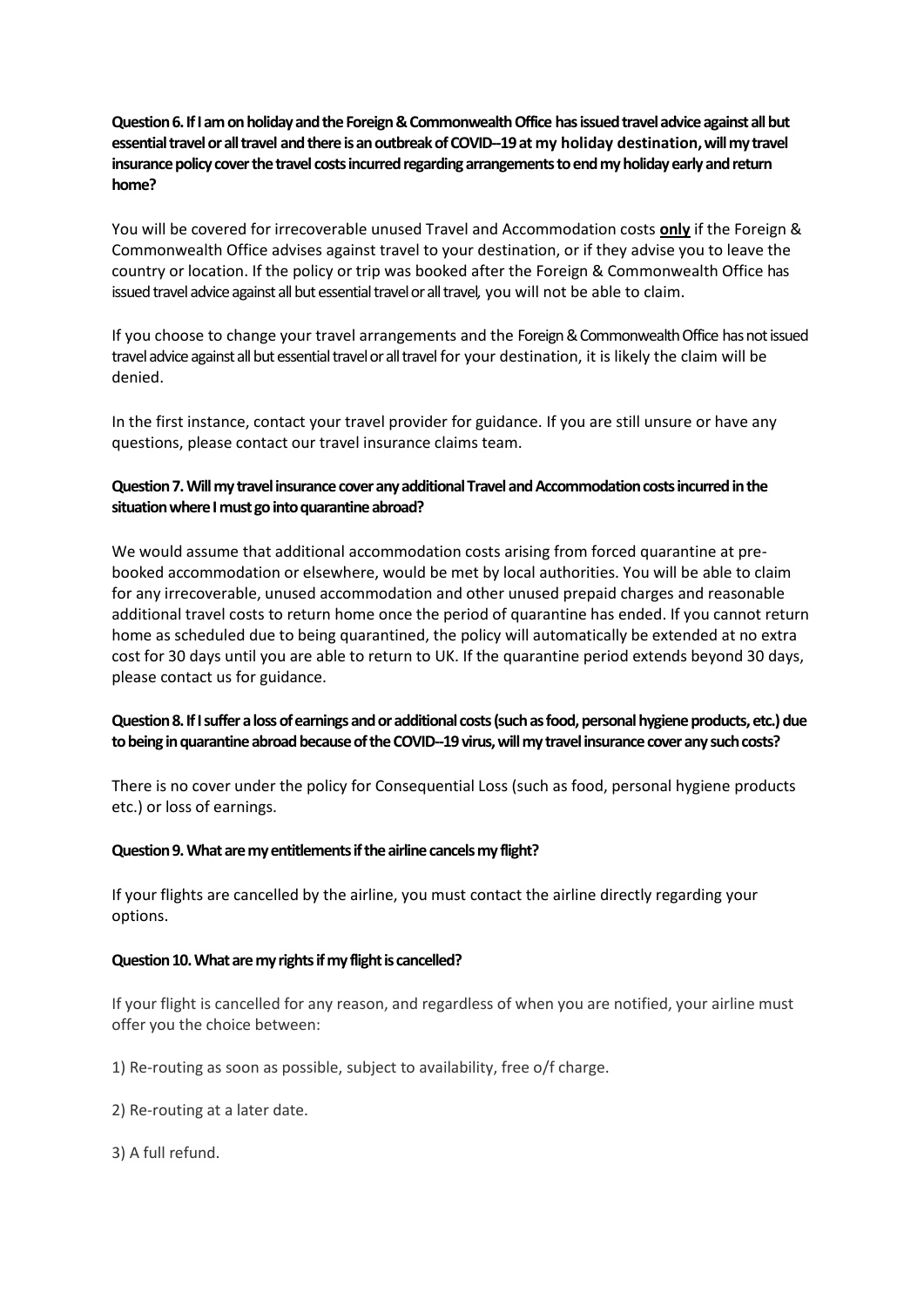**Question 6. If I am on holiday and the Foreign & Commonwealth Office has issued travel advice against all but essential travel or all travel and there is an outbreak of COVID--19 at my holiday destination, will my travel insurance policy cover the travel costs incurred regarding arrangements to end my holiday early and return home?**

You will be covered for irrecoverable unused Travel and Accommodation costs **only** if the Foreign & Commonwealth Office advises against travel to your destination, or if they advise you to leave the country or location. If the policy or trip was booked after the Foreign & Commonwealth Office has issued travel advice against all but essential travel or all travel*,* you will not be able to claim.

If you choose to change your travel arrangements and the Foreign & Commonwealth Office has not issued travel advice against all but essential travel or all travel for your destination, it is likely the claim will be denied.

In the first instance, contact your travel provider for guidance. If you are still unsure or have any questions, please contact our travel insurance claims team.

# **Question 7. Will my travel insurance cover any additional Travel and Accommodation costs incurred in the situation where I must go into quarantine abroad?**

We would assume that additional accommodation costs arising from forced quarantine at prebooked accommodation or elsewhere, would be met by local authorities. You will be able to claim for any irrecoverable, unused accommodation and other unused prepaid charges and reasonable additional travel costs to return home once the period of quarantine has ended. If you cannot return home as scheduled due to being quarantined, the policy will automatically be extended at no extra cost for 30 days until you are able to return to UK. If the quarantine period extends beyond 30 days, please contact us for guidance.

# **Question 8. If I suffer a loss of earnings and or additional costs (such as food, personal hygiene products, etc.) due to being in quarantine abroad because of the COVID--19 virus, will my travel insurance cover any such costs?**

There is no cover under the policy for Consequential Loss (such as food, personal hygiene products etc.) or loss of earnings.

## **Question 9. What are my entitlements if the airline cancels my flight?**

If your flights are cancelled by the airline, you must contact the airline directly regarding your options.

## **Question 10. What are my rights if my flight is cancelled?**

If your flight is cancelled for any reason, and regardless of when you are notified, your airline must offer you the choice between:

1) Re-routing as soon as possible, subject to availability, free o/f charge.

2) Re-routing at a later date.

3) A full refund.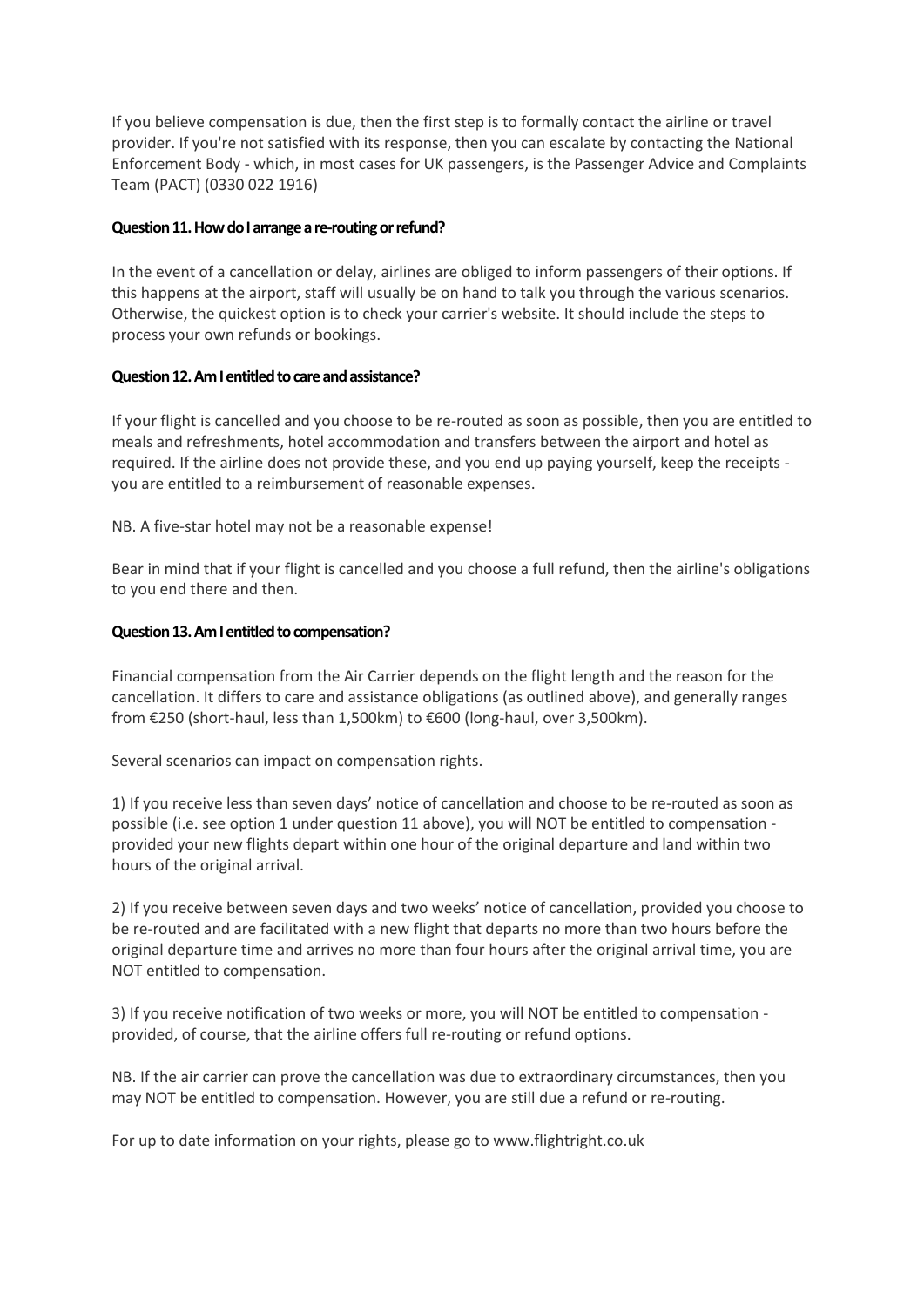If you believe compensation is due, then the first step is to formally contact the airline or travel provider. If you're not satisfied with its response, then you can escalate by contacting the National Enforcement Body - which, in most cases for UK passengers, is the Passenger Advice and Complaints Team (PACT) (0330 022 1916)

## **Question 11. How do I arrange a re-routing or refund?**

In the event of a cancellation or delay, airlines are obliged to inform passengers of their options. If this happens at the airport, staff will usually be on hand to talk you through the various scenarios. Otherwise, the quickest option is to check your carrier's website. It should include the steps to process your own refunds or bookings.

#### **Question 12. Am I entitled to care and assistance?**

If your flight is cancelled and you choose to be re-routed as soon as possible, then you are entitled to meals and refreshments, hotel accommodation and transfers between the airport and hotel as required. If the airline does not provide these, and you end up paying yourself, keep the receipts you are entitled to a reimbursement of reasonable expenses.

NB. A five-star hotel may not be a reasonable expense!

Bear in mind that if your flight is cancelled and you choose a full refund, then the airline's obligations to you end there and then.

#### **Question 13. Am I entitled to compensation?**

Financial compensation from the Air Carrier depends on the flight length and the reason for the cancellation. It differs to care and assistance obligations (as outlined above), and generally ranges from €250 (short-haul, less than 1,500km) to €600 (long-haul, over 3,500km).

Several scenarios can impact on compensation rights.

1) If you receive less than seven days' notice of cancellation and choose to be re-routed as soon as possible (i.e. see option 1 under question 11 above), you will NOT be entitled to compensation provided your new flights depart within one hour of the original departure and land within two hours of the original arrival.

2) If you receive between seven days and two weeks' notice of cancellation, provided you choose to be re-routed and are facilitated with a new flight that departs no more than two hours before the original departure time and arrives no more than four hours after the original arrival time, you are NOT entitled to compensation.

3) If you receive notification of two weeks or more, you will NOT be entitled to compensation provided, of course, that the airline offers full re-routing or refund options.

NB. If the air carrier can prove the cancellation was due to extraordinary circumstances, then you may NOT be entitled to compensation. However, you are still due a refund or re-routing.

For up to date information on your rights, please go to www.flightright.co.uk